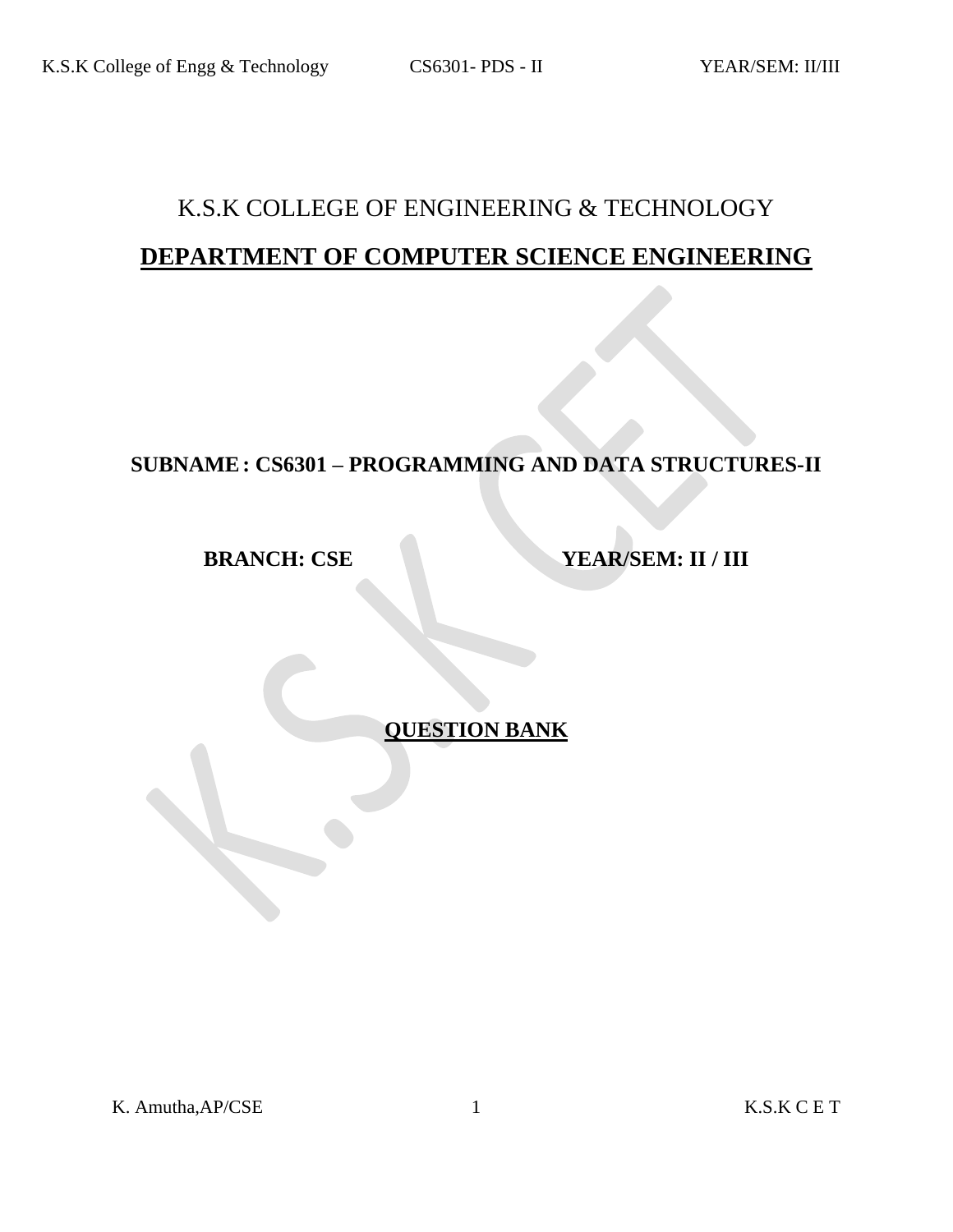# K.S.K COLLEGE OF ENGINEERING & TECHNOLOGY **DEPARTMENT OF COMPUTER SCIENCE ENGINEERING**

# **SUBNAME: CS6301 – PROGRAMMING AND DATA STRUCTURES-II**

**BRANCH: CSE YEAR/SEM: II / III** 

**QUESTION BANK**

K. Amutha,AP/CSE 1 K.S.K C E T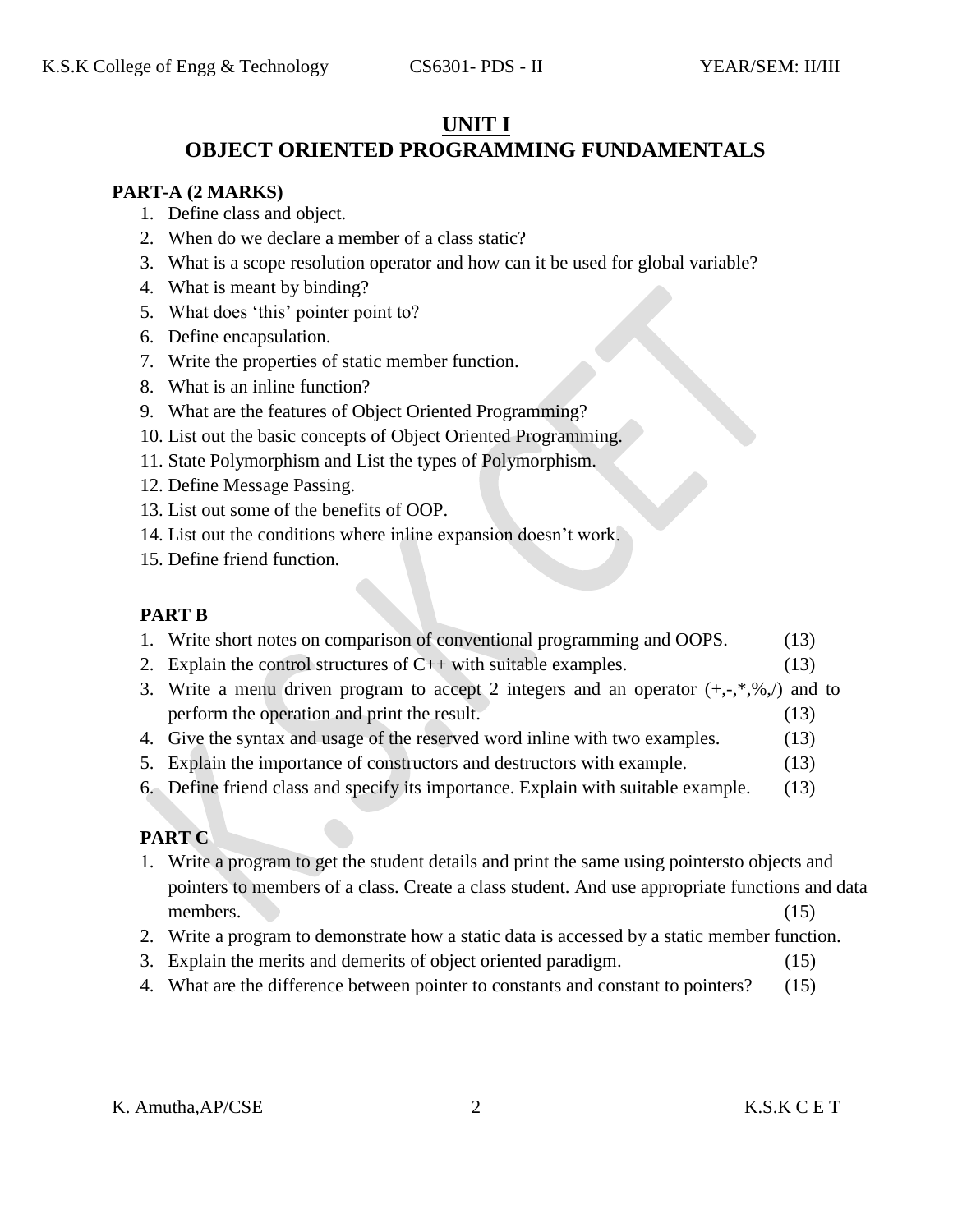#### **UNIT I**

# **OBJECT ORIENTED PROGRAMMING FUNDAMENTALS**

#### **PART-A (2 MARKS)**

- 1. Define class and object.
- 2. When do we declare a member of a class static?
- 3. What is a scope resolution operator and how can it be used for global variable?
- 4. What is meant by binding?
- 5. What does 'this' pointer point to?
- 6. Define encapsulation.
- 7. Write the properties of static member function.
- 8. What is an inline function?
- 9. What are the features of Object Oriented Programming?
- 10. List out the basic concepts of Object Oriented Programming.
- 11. State Polymorphism and List the types of Polymorphism.
- 12. Define Message Passing.
- 13. List out some of the benefits of OOP.
- 14. List out the conditions where inline expansion doesn't work.
- 15. Define friend function.

#### **PART B**

- 1. Write short notes on comparison of conventional programming and OOPS. (13)
- 2. Explain the control structures of  $C_{++}$  with suitable examples. (13)
- 3. Write a menu driven program to accept 2 integers and an operator  $(+,-,*,\%)$  and to perform the operation and print the result. (13)
- 4. Give the syntax and usage of the reserved word inline with two examples. (13)
- 5. Explain the importance of constructors and destructors with example. (13)
- 6. Define friend class and specify its importance. Explain with suitable example. (13)

## **PART C**

- 1. Write a program to get the student details and print the same using pointersto objects and pointers to members of a class. Create a class student. And use appropriate functions and data members. (15)
- 2. Write a program to demonstrate how a static data is accessed by a static member function.
- 3. Explain the merits and demerits of object oriented paradigm. (15)
- 4. What are the difference between pointer to constants and constant to pointers? (15)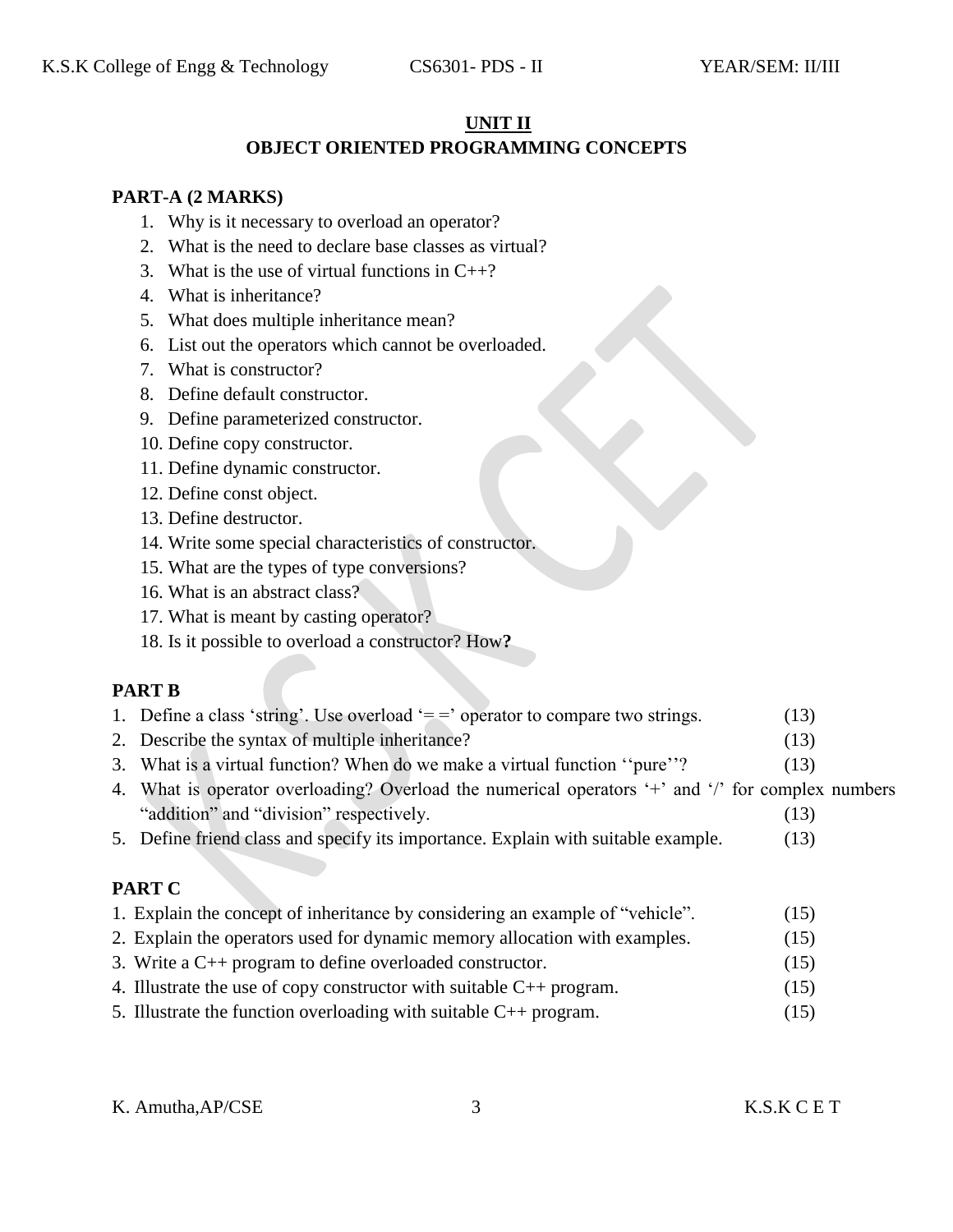#### **UNIT II**

#### **OBJECT ORIENTED PROGRAMMING CONCEPTS**

#### **PART-A (2 MARKS)**

- 1. Why is it necessary to overload an operator?
- 2. What is the need to declare base classes as virtual?
- 3. What is the use of virtual functions in  $C_{++}$ ?
- 4. What is inheritance?
- 5. What does multiple inheritance mean?
- 6. List out the operators which cannot be overloaded.
- 7. What is constructor?
- 8. Define default constructor.
- 9. Define parameterized constructor.
- 10. Define copy constructor.
- 11. Define dynamic constructor.
- 12. Define const object.
- 13. Define destructor.
- 14. Write some special characteristics of constructor.
- 15. What are the types of type conversions?
- 16. What is an abstract class?
- 17. What is meant by casting operator?
- 18. Is it possible to overload a constructor? How**?**

#### **PART B**

- 1. Define a class 'string'. Use overload  $=$  = ' operator to compare two strings. (13)
- 2. Describe the syntax of multiple inheritance? (13)
- 3. What is a virtual function? When do we make a virtual function ''pure''? (13)
- 4. What is operator overloading? Overload the numerical operators '+' and '/' for complex numbers "addition" and "division" respectively. (13)
- 5. Define friend class and specify its importance. Explain with suitable example. (13)

#### **PART C**

- 1. Explain the concept of inheritance by considering an example of "vehicle". (15)
- 2. Explain the operators used for dynamic memory allocation with examples. (15)
- 3. Write a C++ program to define overloaded constructor. (15)
- 4. Illustrate the use of copy constructor with suitable  $C_{++}$  program.  $(15)$
- 5. Illustrate the function overloading with suitable C++ program. (15)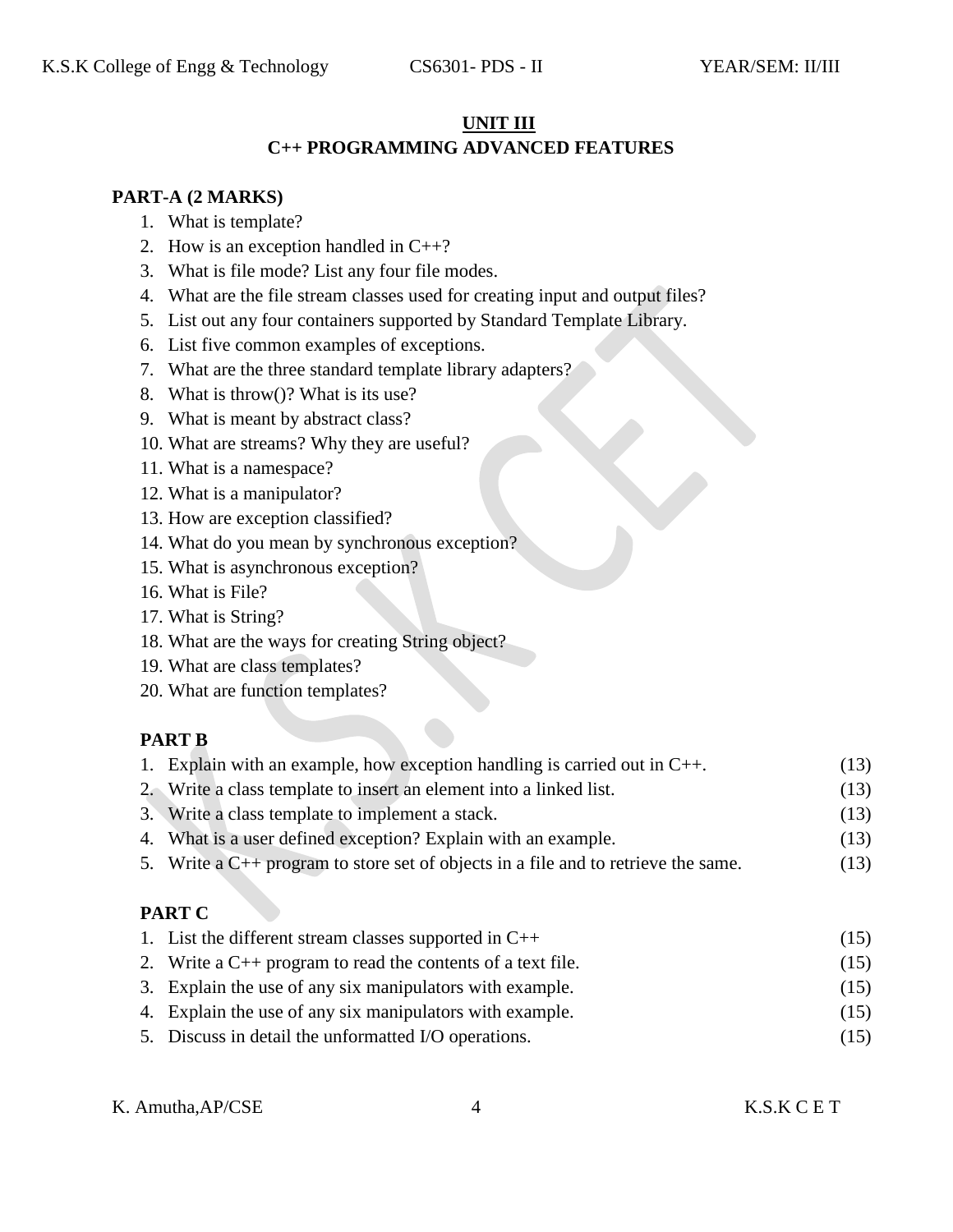#### **UNIT III**

## **C++ PROGRAMMING ADVANCED FEATURES**

#### **PART-A (2 MARKS)**

- 1. What is template?
- 2. How is an exception handled in  $C_{++}$ ?
- 3. What is file mode? List any four file modes.
- 4. What are the file stream classes used for creating input and output files?
- 5. List out any four containers supported by Standard Template Library.
- 6. List five common examples of exceptions.
- 7. What are the three standard template library adapters?
- 8. What is throw()? What is its use?
- 9. What is meant by abstract class?
- 10. What are streams? Why they are useful?
- 11. What is a namespace?
- 12. What is a manipulator?
- 13. How are exception classified?
- 14. What do you mean by synchronous exception?
- 15. What is asynchronous exception?
- 16. What is File?
- 17. What is String?
- 18. What are the ways for creating String object?
- 19. What are class templates?
- 20. What are function templates?

#### **PART B**

| 1. Explain with an example, how exception handling is carried out in $C_{++}$ .         | (13) |
|-----------------------------------------------------------------------------------------|------|
| 2. Write a class template to insert an element into a linked list.                      | (13) |
| 3. Write a class template to implement a stack.                                         | (13) |
| 4. What is a user defined exception? Explain with an example.                           | (13) |
| 5. Write a $C_{++}$ program to store set of objects in a file and to retrieve the same. | (13) |

## **PART C**

| 1. List the different stream classes supported in $C++$          | (15) |
|------------------------------------------------------------------|------|
| 2. Write a $C_{++}$ program to read the contents of a text file. | (15) |
| 3. Explain the use of any six manipulators with example.         | (15) |
| 4. Explain the use of any six manipulators with example.         | (15) |
| 5. Discuss in detail the unformatted I/O operations.             | (15) |

K. Amutha,AP/CSE 4 K.S.K C E T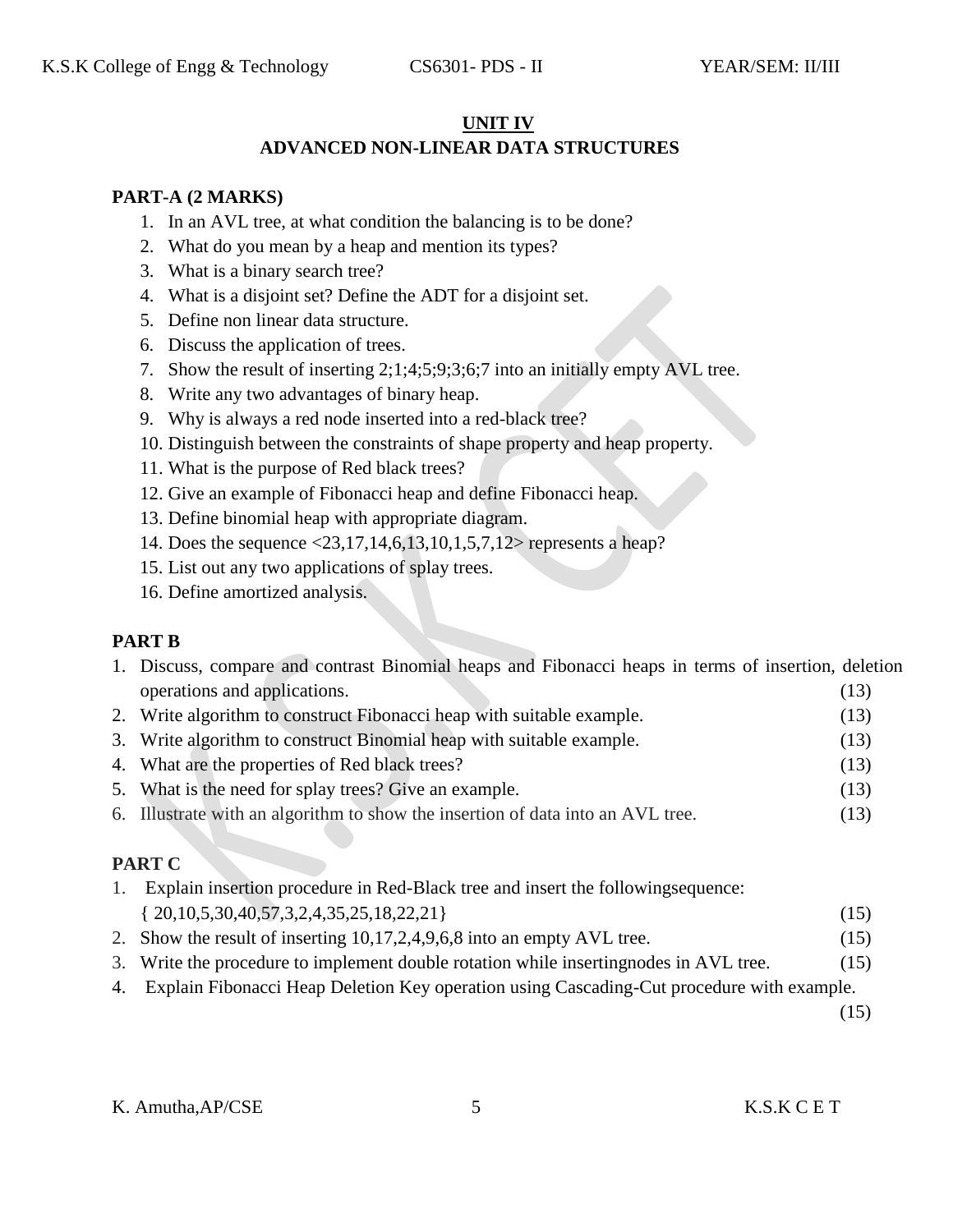#### **UNIT IV**

#### **ADVANCED NON-LINEAR DATA STRUCTURES**

#### **PART-A (2 MARKS)**

- 1. In an AVL tree, at what condition the balancing is to be done?
- 2. What do you mean by a heap and mention its types?
- 3. What is a binary search tree?
- 4. What is a disjoint set? Define the ADT for a disjoint set.
- 5. Define non linear data structure.
- 6. Discuss the application of trees.
- 7. Show the result of inserting 2;1;4;5;9;3;6;7 into an initially empty AVL tree.
- 8. Write any two advantages of binary heap.
- 9. Why is always a red node inserted into a red-black tree?
- 10. Distinguish between the constraints of shape property and heap property.
- 11. What is the purpose of Red black trees?
- 12. Give an example of Fibonacci heap and define Fibonacci heap.
- 13. Define binomial heap with appropriate diagram.
- 14. Does the sequence <23,17,14,6,13,10,1,5,7,12> represents a heap?
- 15. List out any two applications of splay trees.
- 16. Define amortized analysis.

## **PART B**

| 1. Discuss, compare and contrast Binomial heaps and Fibonacci heaps in terms of insertion, deletion |      |
|-----------------------------------------------------------------------------------------------------|------|
| operations and applications.                                                                        | (13) |
| 2. Write algorithm to construct Fibonacci heap with suitable example.                               | (13) |
| 3. Write algorithm to construct Binomial heap with suitable example.                                | (13) |
| 4. What are the properties of Red black trees?                                                      | (13) |

- 5. What is the need for splay trees? Give an example. (13)
- 6. Illustrate with an algorithm to show the insertion of data into an AVL tree. (13)

## **PART C**

| Explain insertion procedure in Red-Black tree and insert the following sequence: |      |  |
|----------------------------------------------------------------------------------|------|--|
| $\{20, 10, 5, 30, 40, 57, 3, 2, 4, 35, 25, 18, 22, 21\}$                         | (15) |  |
| 2. Show the result of inserting 10,17,2,4,9,6,8 into an empty AVL tree.          | (15) |  |

- 3. Write the procedure to implement double rotation while insertingnodes in AVL tree. (15)
- 4. Explain Fibonacci Heap Deletion Key operation using Cascading-Cut procedure with example.

(15)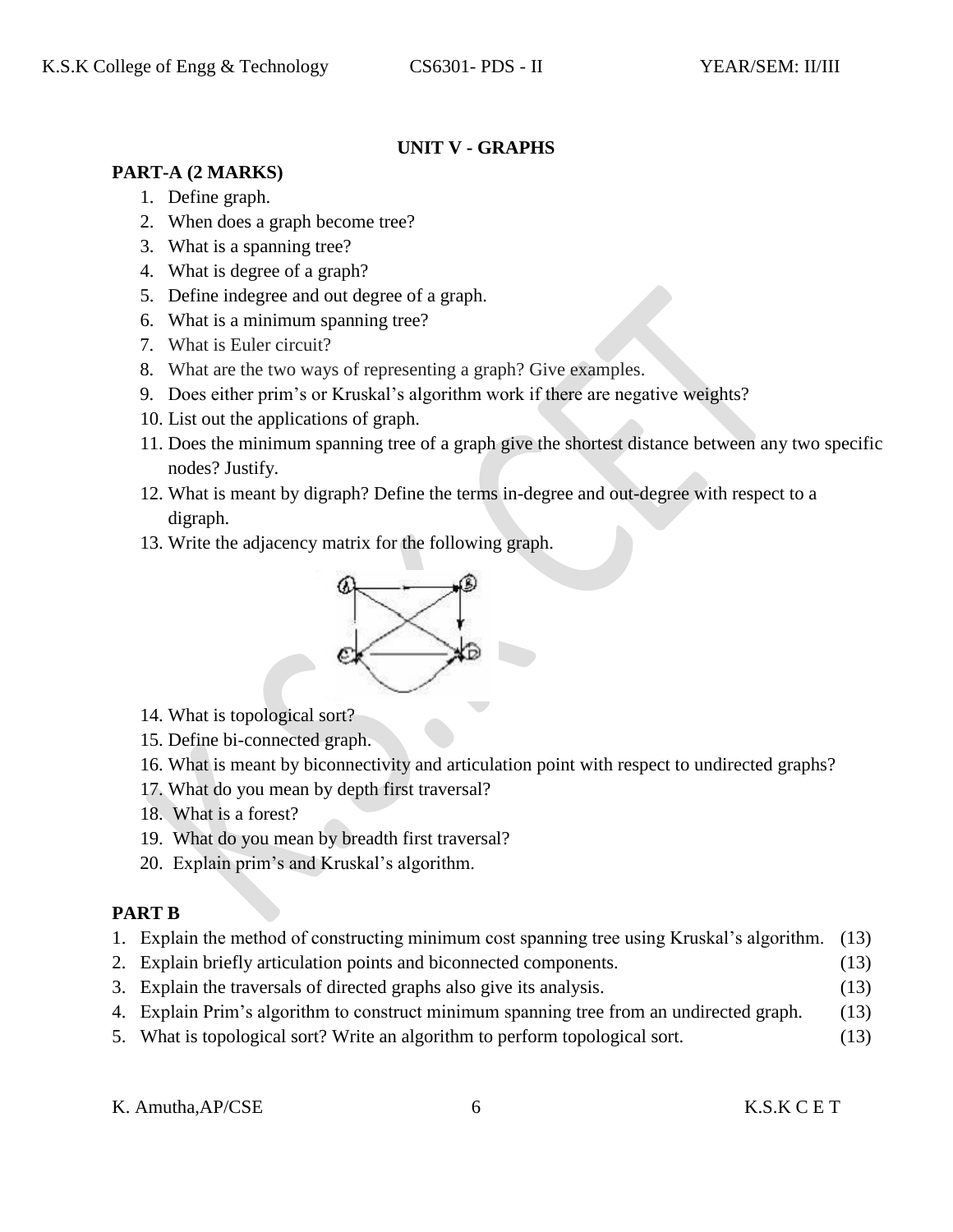## **UNIT V - GRAPHS**

## **PART-A (2 MARKS)**

- 1. Define graph.
- 2. When does a graph become tree?
- 3. What is a spanning tree?
- 4. What is degree of a graph?
- 5. Define indegree and out degree of a graph.
- 6. What is a minimum spanning tree?
- 7. What is Euler circuit?
- 8. What are the two ways of representing a graph? Give examples.
- 9. Does either prim's or Kruskal's algorithm work if there are negative weights?
- 10. List out the applications of graph.
- 11. Does the minimum spanning tree of a graph give the shortest distance between any two specific nodes? Justify.
- 12. What is meant by digraph? Define the terms in-degree and out-degree with respect to a digraph.
- 13. Write the adjacency matrix for the following graph.



- 14. What is topological sort?
- 15. Define bi-connected graph.
- 16. What is meant by biconnectivity and articulation point with respect to undirected graphs?
- 17. What do you mean by depth first traversal?
- 18. What is a forest?
- 19. What do you mean by breadth first traversal?
- 20. Explain prim's and Kruskal's algorithm.

# **PART B**

- 1. Explain the method of constructing minimum cost spanning tree using Kruskal's algorithm. (13)
- 2. Explain briefly articulation points and biconnected components. (13)
- 3. Explain the traversals of directed graphs also give its analysis. (13)
- 4. Explain Prim's algorithm to construct minimum spanning tree from an undirected graph. (13)
- 5. What is topological sort? Write an algorithm to perform topological sort. (13)

K. Amutha,AP/CSE 6 K.S.K C E T